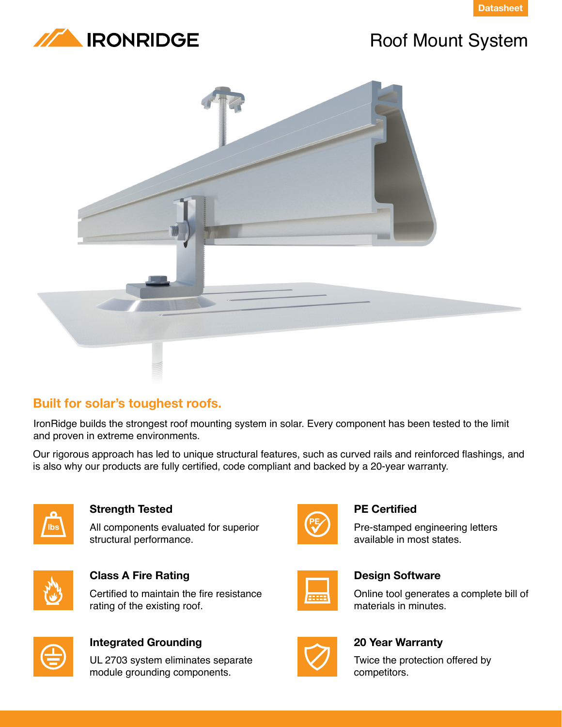



## Roof Mount System



#### **Built for solar's toughest roofs.**

IronRidge builds the strongest roof mounting system in solar. Every component has been tested to the limit and proven in extreme environments.

Our rigorous approach has led to unique structural features, such as curved rails and reinforced flashings, and is also why our products are fully certified, code compliant and backed by a 20-year warranty.



#### **Strength Tested**

All components evaluated for superior structural performance.



**Class A Fire Rating** Certified to maintain the fire resistance

rating of the existing roof.



#### **Integrated Grounding**

UL 2703 system eliminates separate module grounding components.



#### **PE Certified**

Pre-stamped engineering letters available in most states.



#### **Design Software**

Online tool generates a complete bill of materials in minutes.



#### **20 Year Warranty**

Twice the protection offered by competitors.